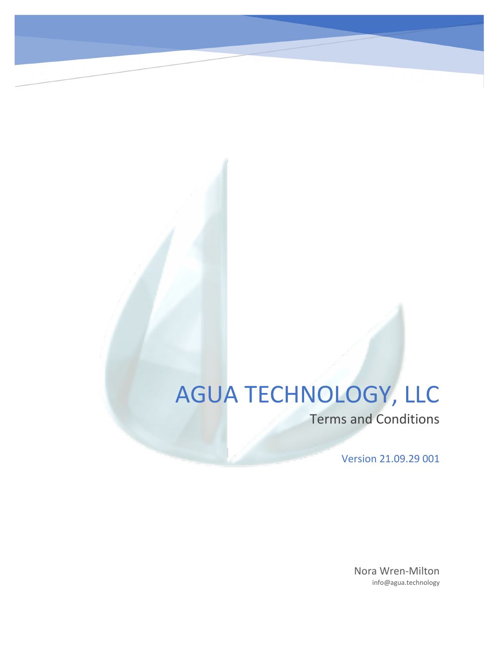# AGUA TECHNOLOGY, LLC

Terms and Conditions

Version 21.09.29 001

Nora Wren-Milton info@agua.technology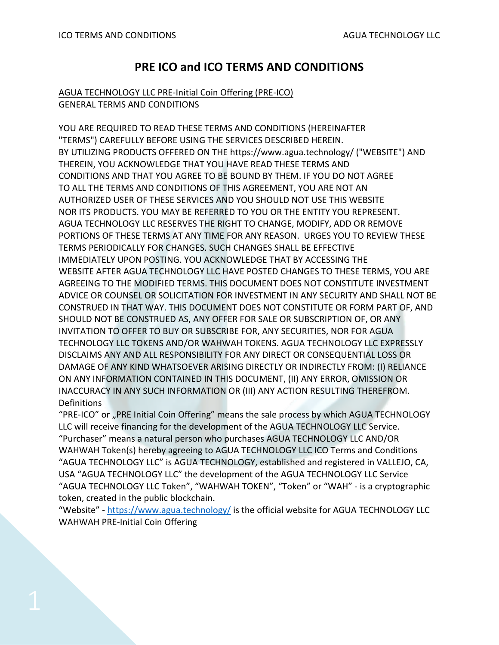# **PRE ICO and ICO TERMS AND CONDITIONS**

#### AGUA TECHNOLOGY LLC PRE-Initial Coin Offering (PRE-ICO) GENERAL TERMS AND CONDITIONS

YOU ARE REQUIRED TO READ THESE TERMS AND CONDITIONS (HEREINAFTER "TERMS") CAREFULLY BEFORE USING THE SERVICES DESCRIBED HEREIN. BY UTILIZING PRODUCTS OFFERED ON THE https://www.agua.technology/ ("WEBSITE") AND THEREIN, YOU ACKNOWLEDGE THAT YOU HAVE READ THESE TERMS AND CONDITIONS AND THAT YOU AGREE TO BE BOUND BY THEM. IF YOU DO NOT AGREE TO ALL THE TERMS AND CONDITIONS OF THIS AGREEMENT, YOU ARE NOT AN AUTHORIZED USER OF THESE SERVICES AND YOU SHOULD NOT USE THIS WEBSITE NOR ITS PRODUCTS. YOU MAY BE REFERRED TO YOU OR THE ENTITY YOU REPRESENT. AGUA TECHNOLOGY LLC RESERVES THE RIGHT TO CHANGE, MODIFY, ADD OR REMOVE PORTIONS OF THESE TERMS AT ANY TIME FOR ANY REASON. URGES YOU TO REVIEW THESE TERMS PERIODICALLY FOR CHANGES. SUCH CHANGES SHALL BE EFFECTIVE IMMEDIATELY UPON POSTING. YOU ACKNOWLEDGE THAT BY ACCESSING THE WEBSITE AFTER AGUA TECHNOLOGY LLC HAVE POSTED CHANGES TO THESE TERMS, YOU ARE AGREEING TO THE MODIFIED TERMS. THIS DOCUMENT DOES NOT CONSTITUTE INVESTMENT ADVICE OR COUNSEL OR SOLICITATION FOR INVESTMENT IN ANY SECURITY AND SHALL NOT BE CONSTRUED IN THAT WAY. THIS DOCUMENT DOES NOT CONSTITUTE OR FORM PART OF, AND SHOULD NOT BE CONSTRUED AS, ANY OFFER FOR SALE OR SUBSCRIPTION OF, OR ANY INVITATION TO OFFER TO BUY OR SUBSCRIBE FOR, ANY SECURITIES, NOR FOR AGUA TECHNOLOGY LLC TOKENS AND/OR WAHWAH TOKENS. AGUA TECHNOLOGY LLC EXPRESSLY DISCLAIMS ANY AND ALL RESPONSIBILITY FOR ANY DIRECT OR CONSEQUENTIAL LOSS OR DAMAGE OF ANY KIND WHATSOEVER ARISING DIRECTLY OR INDIRECTLY FROM: (I) RELIANCE ON ANY INFORMATION CONTAINED IN THIS DOCUMENT, (II) ANY ERROR, OMISSION OR INACCURACY IN ANY SUCH INFORMATION OR (III) ANY ACTION RESULTING THEREFROM. Definitions

"PRE-ICO" or "PRE Initial Coin Offering" means the sale process by which AGUA TECHNOLOGY LLC will receive financing for the development of the AGUA TECHNOLOGY LLC Service. "Purchaser" means a natural person who purchases AGUA TECHNOLOGY LLC AND/OR WAHWAH Token(s) hereby agreeing to AGUA TECHNOLOGY LLC ICO Terms and Conditions "AGUA TECHNOLOGY LLC" is AGUA TECHNOLOGY, established and registered in VALLEJO, CA, USA "AGUA TECHNOLOGY LLC" the development of the AGUA TECHNOLOGY LLC Service "AGUA TECHNOLOGY LLC Token", "WAHWAH TOKEN", "Token" or "WAH" - is a cryptographic token, created in the public blockchain.

"Website" - <https://www.agua.technology/> is the official website for AGUA TECHNOLOGY LLC WAHWAH PRE-Initial Coin Offering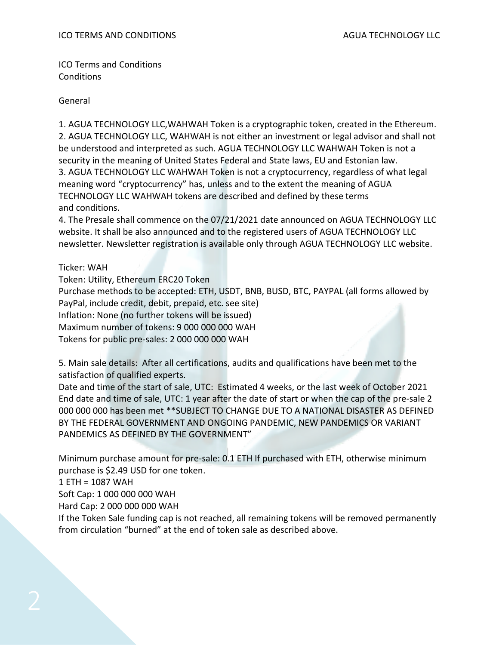ICO Terms and Conditions **Conditions** 

General

1. AGUA TECHNOLOGY LLC,WAHWAH Token is a cryptographic token, created in the Ethereum. 2. AGUA TECHNOLOGY LLC, WAHWAH is not either an investment or legal advisor and shall not be understood and interpreted as such. AGUA TECHNOLOGY LLC WAHWAH Token is not a security in the meaning of United States Federal and State laws, EU and Estonian law. 3. AGUA TECHNOLOGY LLC WAHWAH Token is not a cryptocurrency, regardless of what legal meaning word "cryptocurrency" has, unless and to the extent the meaning of AGUA TECHNOLOGY LLC WAHWAH tokens are described and defined by these terms and conditions.

4. The Presale shall commence on the 07/21/2021 date announced on AGUA TECHNOLOGY LLC website. It shall be also announced and to the registered users of AGUA TECHNOLOGY LLC newsletter. Newsletter registration is available only through AGUA TECHNOLOGY LLC website.

Ticker: WAH

Token: Utility, Ethereum ERC20 Token Purchase methods to be accepted: ETH, USDT, BNB, BUSD, BTC, PAYPAL (all forms allowed by PayPal, include credit, debit, prepaid, etc. see site) Inflation: None (no further tokens will be issued) Maximum number of tokens: 9 000 000 000 WAH Tokens for public pre-sales: 2 000 000 000 WAH

5. Main sale details: After all certifications, audits and qualifications have been met to the satisfaction of qualified experts.

Date and time of the start of sale, UTC: Estimated 4 weeks, or the last week of October 2021 End date and time of sale, UTC: 1 year after the date of start or when the cap of the pre-sale 2 000 000 000 has been met \*\*SUBJECT TO CHANGE DUE TO A NATIONAL DISASTER AS DEFINED BY THE FEDERAL GOVERNMENT AND ONGOING PANDEMIC, NEW PANDEMICS OR VARIANT PANDEMICS AS DEFINED BY THE GOVERNMENT"

Minimum purchase amount for pre-sale: 0.1 ETH If purchased with ETH, otherwise minimum purchase is \$2.49 USD for one token.

1 ETH = 1087 WAH

Soft Cap: 1 000 000 000 WAH

Hard Cap: 2 000 000 000 WAH

If the Token Sale funding cap is not reached, all remaining tokens will be removed permanently from circulation "burned" at the end of token sale as described above.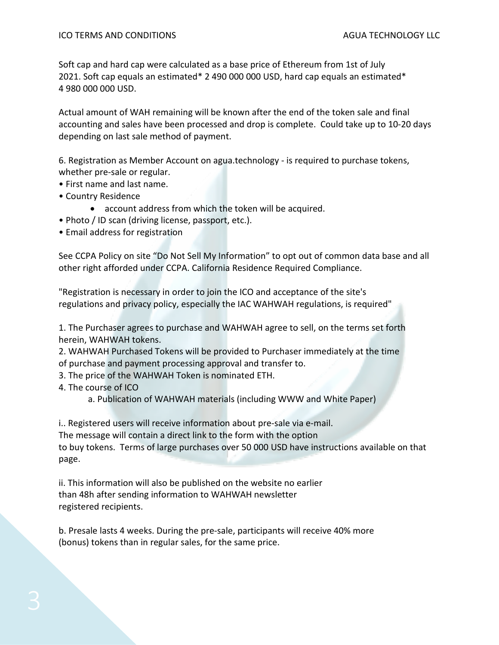Soft cap and hard cap were calculated as a base price of Ethereum from 1st of July 2021. Soft cap equals an estimated\* 2 490 000 000 USD, hard cap equals an estimated\* 4 980 000 000 USD.

Actual amount of WAH remaining will be known after the end of the token sale and final accounting and sales have been processed and drop is complete. Could take up to 10-20 days depending on last sale method of payment.

6. Registration as Member Account on agua.technology - is required to purchase tokens, whether pre-sale or regular.

- First name and last name.
- Country Residence
	- account address from which the token will be acquired.
- Photo / ID scan (driving license, passport, etc.).
- Email address for registration

See CCPA Policy on site "Do Not Sell My Information" to opt out of common data base and all other right afforded under CCPA. California Residence Required Compliance.

"Registration is necessary in order to join the ICO and acceptance of the site's regulations and privacy policy, especially the IAC WAHWAH regulations, is required"

1. The Purchaser agrees to purchase and WAHWAH agree to sell, on the terms set forth herein, WAHWAH tokens.

2. WAHWAH Purchased Tokens will be provided to Purchaser immediately at the time of purchase and payment processing approval and transfer to.

3. The price of the WAHWAH Token is nominated ETH.

4. The course of ICO

a. Publication of WAHWAH materials (including WWW and White Paper)

i.. Registered users will receive information about pre-sale via e-mail.

The message will contain a direct link to the form with the option

to buy tokens. Terms of large purchases over 50 000 USD have instructions available on that page.

ii. This information will also be published on the website no earlier than 48h after sending information to WAHWAH newsletter registered recipients.

b. Presale lasts 4 weeks. During the pre-sale, participants will receive 40% more (bonus) tokens than in regular sales, for the same price.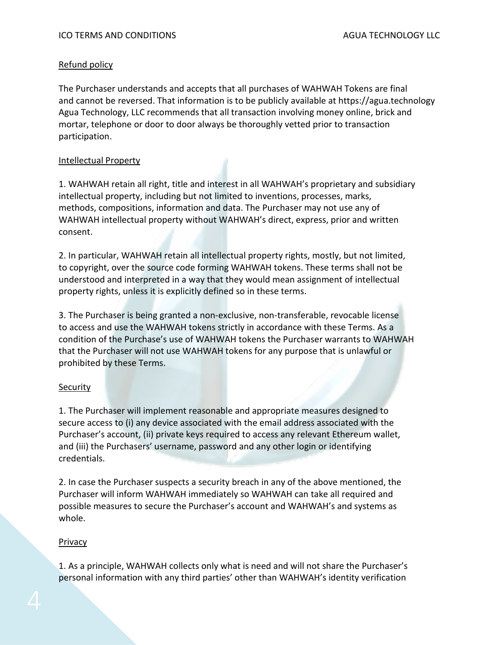# Refund policy

The Purchaser understands and accepts that all purchases of WAHWAH Tokens are final and cannot be reversed. That information is to be publicly available at https://agua.technology Agua Technology, LLC recommends that all transaction involving money online, brick and mortar, telephone or door to door always be thoroughly vetted prior to transaction participation.

#### Intellectual Property

1. WAHWAH retain all right, title and interest in all WAHWAH's proprietary and subsidiary intellectual property, including but not limited to inventions, processes, marks, methods, compositions, information and data. The Purchaser may not use any of WAHWAH intellectual property without WAHWAH's direct, express, prior and written consent.

2. In particular, WAHWAH retain all intellectual property rights, mostly, but not limited, to copyright, over the source code forming WAHWAH tokens. These terms shall not be understood and interpreted in a way that they would mean assignment of intellectual property rights, unless it is explicitly defined so in these terms.

3. The Purchaser is being granted a non-exclusive, non-transferable, revocable license to access and use the WAHWAH tokens strictly in accordance with these Terms. As a condition of the Purchase's use of WAHWAH tokens the Purchaser warrants to WAHWAH that the Purchaser will not use WAHWAH tokens for any purpose that is unlawful or prohibited by these Terms.

# **Security**

1. The Purchaser will implement reasonable and appropriate measures designed to secure access to (i) any device associated with the email address associated with the Purchaser's account, (ii) private keys required to access any relevant Ethereum wallet, and (iii) the Purchasers' username, password and any other login or identifying credentials.

2. In case the Purchaser suspects a security breach in any of the above mentioned, the Purchaser will inform WAHWAH immediately so WAHWAH can take all required and possible measures to secure the Purchaser's account and WAHWAH's and systems as whole.

# Privacy

1. As a principle, WAHWAH collects only what is need and will not share the Purchaser's personal information with any third parties' other than WAHWAH's identity verification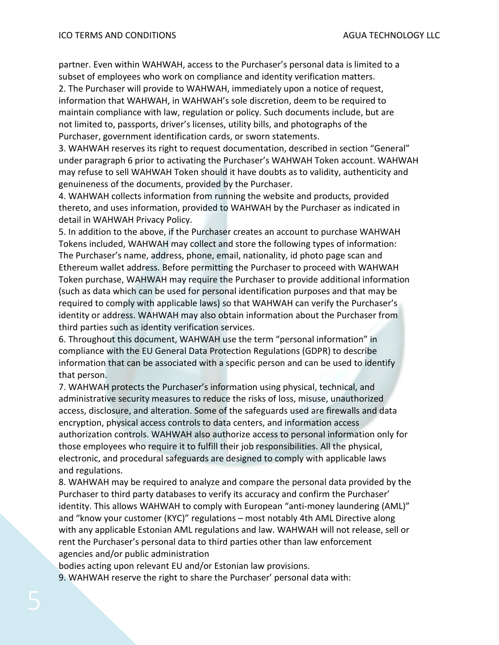partner. Even within WAHWAH, access to the Purchaser's personal data is limited to a subset of employees who work on compliance and identity verification matters.

2. The Purchaser will provide to WAHWAH, immediately upon a notice of request, information that WAHWAH, in WAHWAH's sole discretion, deem to be required to maintain compliance with law, regulation or policy. Such documents include, but are not limited to, passports, driver's licenses, utility bills, and photographs of the Purchaser, government identification cards, or sworn statements.

3. WAHWAH reserves its right to request documentation, described in section "General" under paragraph 6 prior to activating the Purchaser's WAHWAH Token account. WAHWAH may refuse to sell WAHWAH Token should it have doubts as to validity, authenticity and genuineness of the documents, provided by the Purchaser.

4. WAHWAH collects information from running the website and products, provided thereto, and uses information, provided to WAHWAH by the Purchaser as indicated in detail in WAHWAH Privacy Policy.

5. In addition to the above, if the Purchaser creates an account to purchase WAHWAH Tokens included, WAHWAH may collect and store the following types of information: The Purchaser's name, address, phone, email, nationality, id photo page scan and Ethereum wallet address. Before permitting the Purchaser to proceed with WAHWAH Token purchase, WAHWAH may require the Purchaser to provide additional information (such as data which can be used for personal identification purposes and that may be required to comply with applicable laws) so that WAHWAH can verify the Purchaser's identity or address. WAHWAH may also obtain information about the Purchaser from third parties such as identity verification services.

6. Throughout this document, WAHWAH use the term "personal information" in compliance with the EU General Data Protection Regulations (GDPR) to describe information that can be associated with a specific person and can be used to identify that person.

7. WAHWAH protects the Purchaser's information using physical, technical, and administrative security measures to reduce the risks of loss, misuse, unauthorized access, disclosure, and alteration. Some of the safeguards used are firewalls and data encryption, physical access controls to data centers, and information access authorization controls. WAHWAH also authorize access to personal information only for those employees who require it to fulfill their job responsibilities. All the physical, electronic, and procedural safeguards are designed to comply with applicable laws and regulations.

8. WAHWAH may be required to analyze and compare the personal data provided by the Purchaser to third party databases to verify its accuracy and confirm the Purchaser' identity. This allows WAHWAH to comply with European "anti-money laundering (AML)" and "know your customer (KYC)" regulations – most notably 4th AML Directive along with any applicable Estonian AML regulations and law. WAHWAH will not release, sell or rent the Purchaser's personal data to third parties other than law enforcement agencies and/or public administration

bodies acting upon relevant EU and/or Estonian law provisions.

9. WAHWAH reserve the right to share the Purchaser' personal data with: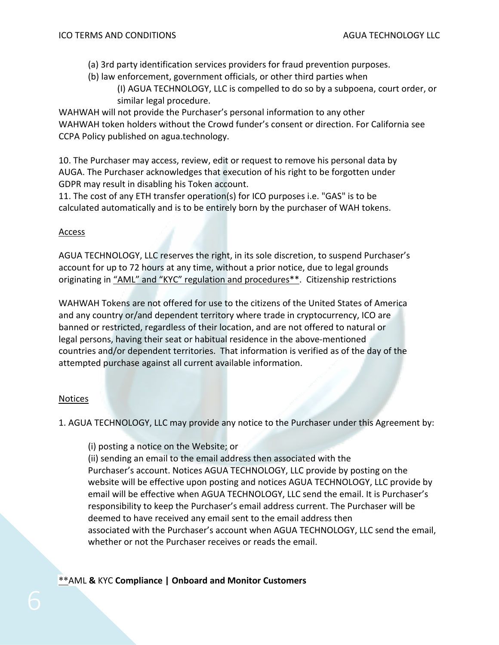- (a) 3rd party identification services providers for fraud prevention purposes.
- (b) law enforcement, government officials, or other third parties when
	- (I) AGUA TECHNOLOGY, LLC is compelled to do so by a subpoena, court order, or similar legal procedure.

WAHWAH will not provide the Purchaser's personal information to any other WAHWAH token holders without the Crowd funder's consent or direction. For California see CCPA Policy published on agua.technology.

10. The Purchaser may access, review, edit or request to remove his personal data by AUGA. The Purchaser acknowledges that execution of his right to be forgotten under GDPR may result in disabling his Token account.

11. The cost of any ETH transfer operation(s) for ICO purposes i.e. "GAS" is to be calculated automatically and is to be entirely born by the purchaser of WAH tokens.

#### Access

AGUA TECHNOLOGY, LLC reserves the right, in its sole discretion, to suspend Purchaser's account for up to 72 hours at any time, without a prior notice, due to legal grounds originating in "AML" and "KYC" regulation and procedures\*\*. Citizenship restrictions

WAHWAH Tokens are not offered for use to the citizens of the United States of America and any country or/and dependent territory where trade in cryptocurrency, ICO are banned or restricted, regardless of their location, and are not offered to natural or legal persons, having their seat or habitual residence in the above-mentioned countries and/or dependent territories. That information is verified as of the day of the attempted purchase against all current available information.

# **Notices**

1. AGUA TECHNOLOGY, LLC may provide any notice to the Purchaser under this Agreement by:

(i) posting a notice on the Website; or

(ii) sending an email to the email address then associated with the Purchaser's account. Notices AGUA TECHNOLOGY, LLC provide by posting on the website will be effective upon posting and notices AGUA TECHNOLOGY, LLC provide by email will be effective when AGUA TECHNOLOGY, LLC send the email. It is Purchaser's responsibility to keep the Purchaser's email address current. The Purchaser will be deemed to have received any email sent to the email address then associated with the Purchaser's account when AGUA TECHNOLOGY, LLC send the email, whether or not the Purchaser receives or reads the email.

\*\*AML **&** KYC **[Compliance | Onboard and Monitor Customers](https://www.bing.com/aclk?ld=e8CyhQ5QPk3Qf_lS1MzZ8E4jVUCUzOKhz551iEK3dILhGN29CQ9s3jl-tdv91QhAxn3o1k9Z25OPNtVqVlwXJVQatrJLK7UFafNwp6Dt4y5gYP--UK0dzUR_zDndro2HmMpYmO2CIuX1ePfEscUByiuAwoNegVQINdLfRBeYYtnX-_n9nnS_LNRd03h1nI1zSfZNnbhw&u=aHR0cHMlM2ElMmYlMmZnby5qdW1pby5jb20lMmZhbWwtc29sdXRpb25zLW5vbndlYiUzZnV0bV9zb3VyY2UlM2RiaW5nJTI2dXRtX21lZGl1bSUzZGNwYyUyNnV0bV9jYW1wYWlnbiUzZDIwMjFfQU1MX1RvdGFsU29sdXRpb25fUFBDJTI2dXRtX2NvbnRlbnQlM2RUb3RhbF9Tb2x1dGlvbiUyNnV0bV9zb3VyY2UlM2RiaW5nJTI2dXRtX21lZGl1bSUzZGNwYyUyNnV0bV9jYW1wYWlnbiUzZDIwMTclMjUyME5ldHZlcmlmeSUyNTIwRGVtbyUyNnV0bV9jb250ZW50JTNkTmV0dmVyaWZ5X0lEX1BQQ19MYW5kaW5nUGFnZV92MiUyNl9idCUzZCUyNl9iayUzZGt5YyUyNTIwYW50aSUyNTIwbW9uZXklMjUyMGxhdW5kZXJpbmclMjZfYm0lM2RlJTI2X2JuJTNkbyUyNl9iZyUzZDExMzkwOTQ4MjI2ODQxOTQlMjZtc2Nsa2lkJTNkZDYxNGM1YmMzZWRiMTAyYjY2NzlhNGU4ZWJmMmI1MWY&rlid=d614c5bc3edb102b6679a4e8ebf2b51f&ntb=1&ntb=1)**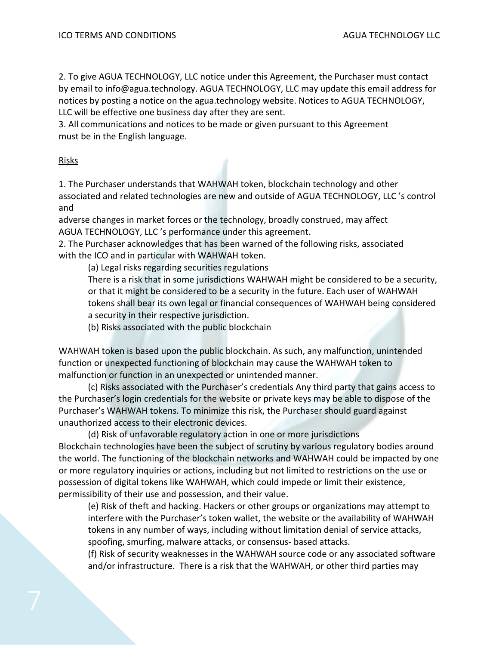2. To give AGUA TECHNOLOGY, LLC notice under this Agreement, the Purchaser must contact by email to info@agua.technology. AGUA TECHNOLOGY, LLC may update this email address for notices by posting a notice on the agua.technology website. Notices to AGUA TECHNOLOGY, LLC will be effective one business day after they are sent.

3. All communications and notices to be made or given pursuant to this Agreement must be in the English language.

#### Risks

1. The Purchaser understands that WAHWAH token, blockchain technology and other associated and related technologies are new and outside of AGUA TECHNOLOGY, LLC 's control and

adverse changes in market forces or the technology, broadly construed, may affect AGUA TECHNOLOGY, LLC 's performance under this agreement.

2. The Purchaser acknowledges that has been warned of the following risks, associated with the ICO and in particular with WAHWAH token.

(a) Legal risks regarding securities regulations

There is a risk that in some jurisdictions WAHWAH might be considered to be a security, or that it might be considered to be a security in the future. Each user of WAHWAH tokens shall bear its own legal or financial consequences of WAHWAH being considered a security in their respective jurisdiction.

(b) Risks associated with the public blockchain

WAHWAH token is based upon the public blockchain. As such, any malfunction, unintended function or unexpected functioning of blockchain may cause the WAHWAH token to malfunction or function in an unexpected or unintended manner.

(c) Risks associated with the Purchaser's credentials Any third party that gains access to the Purchaser's login credentials for the website or private keys may be able to dispose of the Purchaser's WAHWAH tokens. To minimize this risk, the Purchaser should guard against unauthorized access to their electronic devices.

(d) Risk of unfavorable regulatory action in one or more jurisdictions Blockchain technologies have been the subject of scrutiny by various regulatory bodies around the world. The functioning of the blockchain networks and WAHWAH could be impacted by one or more regulatory inquiries or actions, including but not limited to restrictions on the use or possession of digital tokens like WAHWAH, which could impede or limit their existence, permissibility of their use and possession, and their value.

(e) Risk of theft and hacking. Hackers or other groups or organizations may attempt to interfere with the Purchaser's token wallet, the website or the availability of WAHWAH tokens in any number of ways, including without limitation denial of service attacks, spoofing, smurfing, malware attacks, or consensus- based attacks.

(f) Risk of security weaknesses in the WAHWAH source code or any associated software and/or infrastructure. There is a risk that the WAHWAH, or other third parties may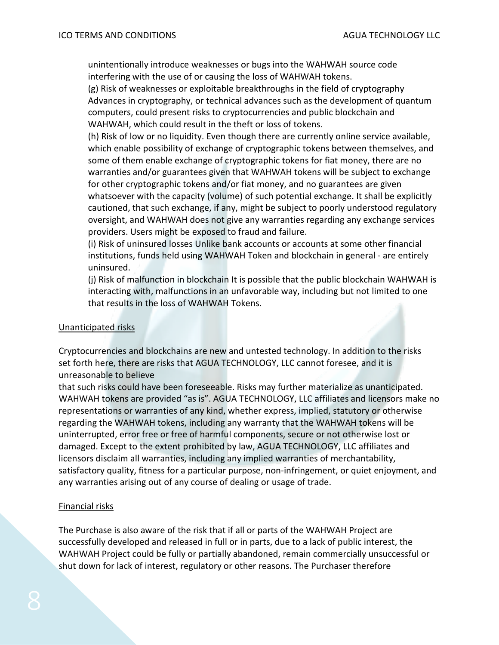unintentionally introduce weaknesses or bugs into the WAHWAH source code interfering with the use of or causing the loss of WAHWAH tokens.

(g) Risk of weaknesses or exploitable breakthroughs in the field of cryptography Advances in cryptography, or technical advances such as the development of quantum computers, could present risks to cryptocurrencies and public blockchain and WAHWAH, which could result in the theft or loss of tokens.

(h) Risk of low or no liquidity. Even though there are currently online service available, which enable possibility of exchange of cryptographic tokens between themselves, and some of them enable exchange of cryptographic tokens for fiat money, there are no warranties and/or guarantees given that WAHWAH tokens will be subject to exchange for other cryptographic tokens and/or fiat money, and no guarantees are given whatsoever with the capacity (volume) of such potential exchange. It shall be explicitly cautioned, that such exchange, if any, might be subject to poorly understood regulatory oversight, and WAHWAH does not give any warranties regarding any exchange services providers. Users might be exposed to fraud and failure.

(i) Risk of uninsured losses Unlike bank accounts or accounts at some other financial institutions, funds held using WAHWAH Token and blockchain in general - are entirely uninsured.

(j) Risk of malfunction in blockchain It is possible that the public blockchain WAHWAH is interacting with, malfunctions in an unfavorable way, including but not limited to one that results in the loss of WAHWAH Tokens.

#### Unanticipated risks

Cryptocurrencies and blockchains are new and untested technology. In addition to the risks set forth here, there are risks that AGUA TECHNOLOGY, LLC cannot foresee, and it is unreasonable to believe

that such risks could have been foreseeable. Risks may further materialize as unanticipated. WAHWAH tokens are provided "as is". AGUA TECHNOLOGY, LLC affiliates and licensors make no representations or warranties of any kind, whether express, implied, statutory or otherwise regarding the WAHWAH tokens, including any warranty that the WAHWAH tokens will be uninterrupted, error free or free of harmful components, secure or not otherwise lost or damaged. Except to the extent prohibited by law, AGUA TECHNOLOGY, LLC affiliates and licensors disclaim all warranties, including any implied warranties of merchantability, satisfactory quality, fitness for a particular purpose, non-infringement, or quiet enjoyment, and any warranties arising out of any course of dealing or usage of trade.

#### Financial risks

The Purchase is also aware of the risk that if all or parts of the WAHWAH Project are successfully developed and released in full or in parts, due to a lack of public interest, the WAHWAH Project could be fully or partially abandoned, remain commercially unsuccessful or shut down for lack of interest, regulatory or other reasons. The Purchaser therefore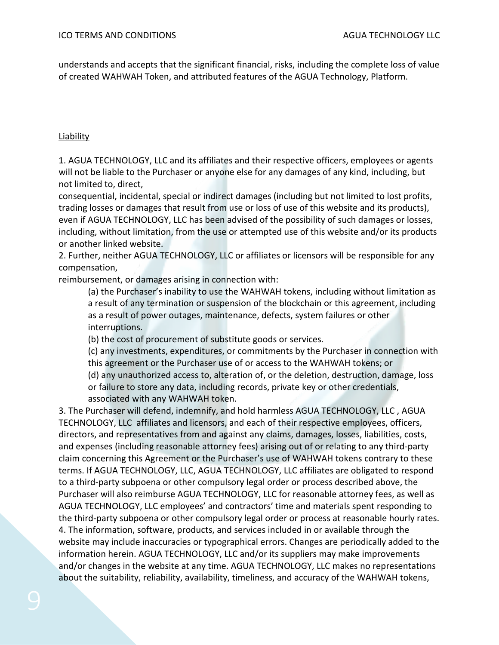understands and accepts that the significant financial, risks, including the complete loss of value of created WAHWAH Token, and attributed features of the AGUA Technology, Platform.

# Liability

1. AGUA TECHNOLOGY, LLC and its affiliates and their respective officers, employees or agents will not be liable to the Purchaser or anyone else for any damages of any kind, including, but not limited to, direct,

consequential, incidental, special or indirect damages (including but not limited to lost profits, trading losses or damages that result from use or loss of use of this website and its products), even if AGUA TECHNOLOGY, LLC has been advised of the possibility of such damages or losses, including, without limitation, from the use or attempted use of this website and/or its products or another linked website.

2. Further, neither AGUA TECHNOLOGY, LLC or affiliates or licensors will be responsible for any compensation,

reimbursement, or damages arising in connection with:

(a) the Purchaser's inability to use the WAHWAH tokens, including without limitation as a result of any termination or suspension of the blockchain or this agreement, including as a result of power outages, maintenance, defects, system failures or other interruptions.

(b) the cost of procurement of substitute goods or services.

(c) any investments, expenditures, or commitments by the Purchaser in connection with this agreement or the Purchaser use of or access to the WAHWAH tokens; or (d) any unauthorized access to, alteration of, or the deletion, destruction, damage, loss or failure to store any data, including records, private key or other credentials, associated with any WAHWAH token.

3. The Purchaser will defend, indemnify, and hold harmless AGUA TECHNOLOGY, LLC , AGUA TECHNOLOGY, LLC affiliates and licensors, and each of their respective employees, officers, directors, and representatives from and against any claims, damages, losses, liabilities, costs, and expenses (including reasonable attorney fees) arising out of or relating to any third-party claim concerning this Agreement or the Purchaser's use of WAHWAH tokens contrary to these terms. If AGUA TECHNOLOGY, LLC, AGUA TECHNOLOGY, LLC affiliates are obligated to respond to a third-party subpoena or other compulsory legal order or process described above, the Purchaser will also reimburse AGUA TECHNOLOGY, LLC for reasonable attorney fees, as well as AGUA TECHNOLOGY, LLC employees' and contractors' time and materials spent responding to the third-party subpoena or other compulsory legal order or process at reasonable hourly rates. 4. The information, software, products, and services included in or available through the website may include inaccuracies or typographical errors. Changes are periodically added to the information herein. AGUA TECHNOLOGY, LLC and/or its suppliers may make improvements and/or changes in the website at any time. AGUA TECHNOLOGY, LLC makes no representations about the suitability, reliability, availability, timeliness, and accuracy of the WAHWAH tokens,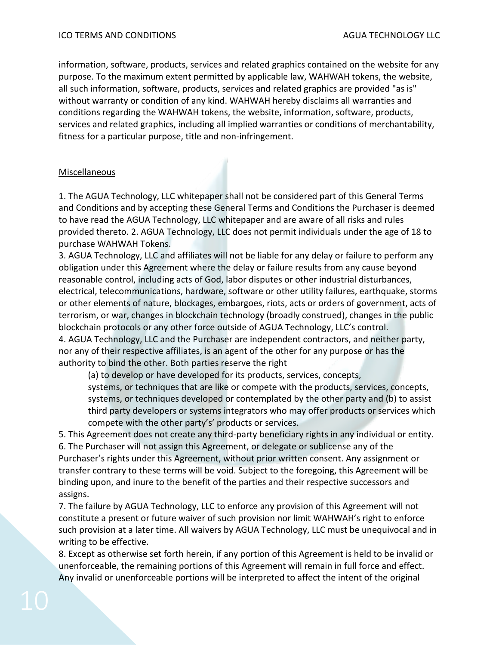information, software, products, services and related graphics contained on the website for any purpose. To the maximum extent permitted by applicable law, WAHWAH tokens, the website, all such information, software, products, services and related graphics are provided "as is" without warranty or condition of any kind. WAHWAH hereby disclaims all warranties and conditions regarding the WAHWAH tokens, the website, information, software, products, services and related graphics, including all implied warranties or conditions of merchantability, fitness for a particular purpose, title and non-infringement.

#### Miscellaneous

1. The AGUA Technology, LLC whitepaper shall not be considered part of this General Terms and Conditions and by accepting these General Terms and Conditions the Purchaser is deemed to have read the AGUA Technology, LLC whitepaper and are aware of all risks and rules provided thereto. 2. AGUA Technology, LLC does not permit individuals under the age of 18 to purchase WAHWAH Tokens.

3. AGUA Technology, LLC and affiliates will not be liable for any delay or failure to perform any obligation under this Agreement where the delay or failure results from any cause beyond reasonable control, including acts of God, labor disputes or other industrial disturbances, electrical, telecommunications, hardware, software or other utility failures, earthquake, storms or other elements of nature, blockages, embargoes, riots, acts or orders of government, acts of terrorism, or war, changes in blockchain technology (broadly construed), changes in the public blockchain protocols or any other force outside of AGUA Technology, LLC's control. 4. AGUA Technology, LLC and the Purchaser are independent contractors, and neither party, nor any of their respective affiliates, is an agent of the other for any purpose or has the authority to bind the other. Both parties reserve the right

(a) to develop or have developed for its products, services, concepts,

systems, or techniques that are like or compete with the products, services, concepts, systems, or techniques developed or contemplated by the other party and (b) to assist third party developers or systems integrators who may offer products or services which compete with the other party's' products or services.

5. This Agreement does not create any third-party beneficiary rights in any individual or entity. 6. The Purchaser will not assign this Agreement, or delegate or sublicense any of the Purchaser's rights under this Agreement, without prior written consent. Any assignment or transfer contrary to these terms will be void. Subject to the foregoing, this Agreement will be binding upon, and inure to the benefit of the parties and their respective successors and assigns.

7. The failure by AGUA Technology, LLC to enforce any provision of this Agreement will not constitute a present or future waiver of such provision nor limit WAHWAH's right to enforce such provision at a later time. All waivers by AGUA Technology, LLC must be unequivocal and in writing to be effective.

8. Except as otherwise set forth herein, if any portion of this Agreement is held to be invalid or unenforceable, the remaining portions of this Agreement will remain in full force and effect. Any invalid or unenforceable portions will be interpreted to affect the intent of the original